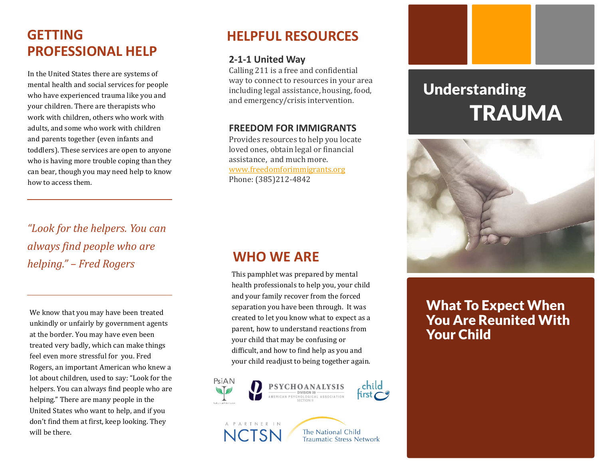# **GETTING PROFESSIONAL HELP**

In the United States there are systems of mental health and social services for people who have experienced trauma like you and your children. There are therapists who work with children, others who work with adults, and some who work with children and parents together (even infants and toddlers). These services are open to anyone who is having more trouble coping than they can bear, though you may need help to know how to access them.

*"Look for the helpers. You can always find people who are helping." – Fred Rogers*

We know that you may have been treated unkindly or unfairly by government agents at the border. You may have even been treated very badly, which can make things feel even more stressful for you. Fred Rogers, an important American who knew a lot about children, used to say: "Look for the helpers. You can always find people who are helping." There are many people in the United States who want to help, and if you don't find them at first, keep looking. They will be there.

### **HELPFUL RESOURCES**

### **2-1-1 United Way**

Calling 211 is a free and confidential way to connect to resources in your area including legal assistance, housing, food, and emergency/crisis intervention.

#### **FREEDOM FOR IMMIGRANTS**

Provides resources to help you locate loved ones, obtain legal or financial assistance, and much more. [www.freedomforimmigrants.org](http://www.freedomforimmigrants.org/) Phone: (385)212-4842

# **TRAUMA** Understanding



# What To Expect When You Are Reunited With Your Child

# **WHO WE ARE**

This pamphlet was prepared by mental health professionals to help you, your child and your family recover from the forced separation you have been through. It was created to let you know what to expect as a parent, how to understand reactions from your child that may be confusing or difficult, and how to find help as you and your child readjust to being together again.